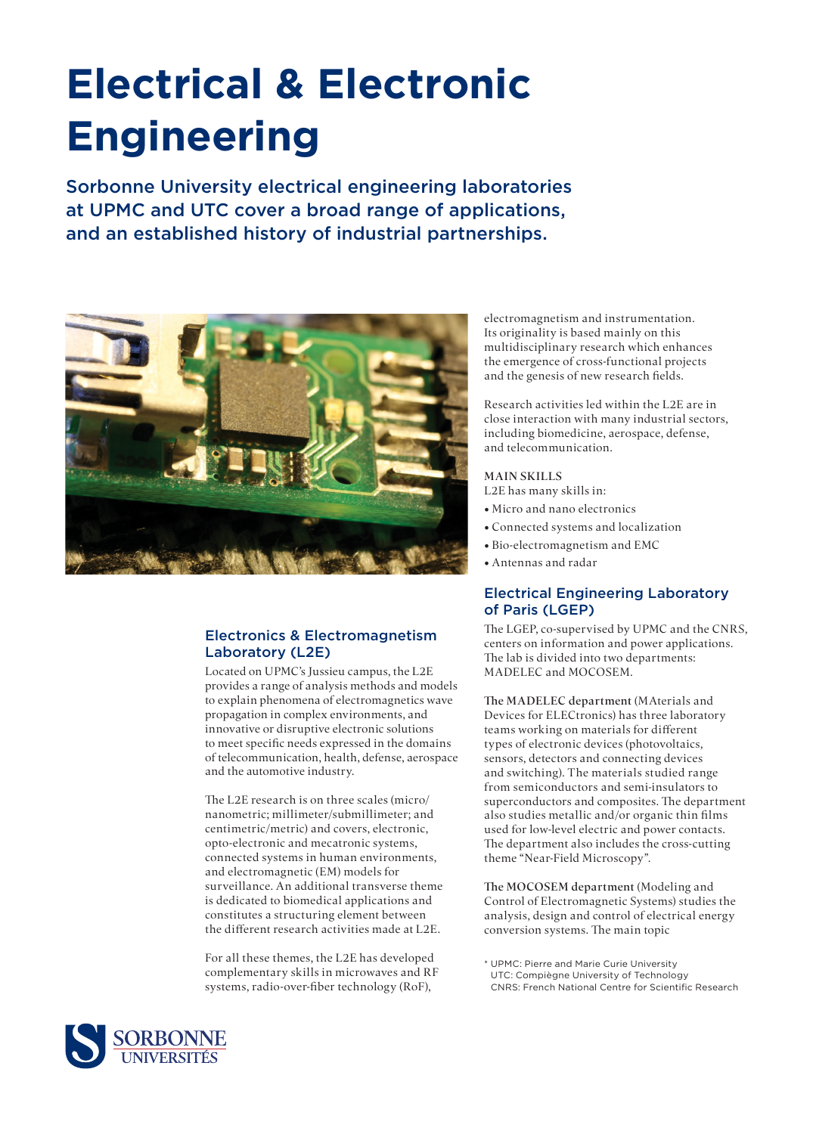# **Electrical & Electronic Engineering**

Sorbonne University electrical engineering laboratories at UPMC and UTC cover a broad range of applications, and an established history of industrial partnerships.



### Electronics & Electromagnetism Laboratory (L2E)

Located on UPMC's Jussieu campus, the L2E provides a range of analysis methods and models to explain phenomena of electromagnetics wave propagation in complex environments, and innovative or disruptive electronic solutions to meet specific needs expressed in the domains of telecommunication, health, defense, aerospace and the automotive industry.

The L2E research is on three scales (micro/ nanometric; millimeter/submillimeter; and centimetric/metric) and covers, electronic, opto-electronic and mecatronic systems, connected systems in human environments, and electromagnetic (EM) models for surveillance. An additional transverse theme is dedicated to biomedical applications and constitutes a structuring element between the different research activities made at L2E.

For all these themes, the L2E has developed complementary skills in microwaves and RF systems, radio-over-fiber technology (RoF),

electromagnetism and instrumentation. Its originality is based mainly on this multidisciplinary research which enhances the emergence of cross-functional projects and the genesis of new research fields.

Research activities led within the L2E are in close interaction with many industrial sectors, including biomedicine, aerospace, defense, and telecommunication.

#### MAIN SKILLS

- L2E has many skills in:
- Micro and nano electronics
- Connected systems and localization
- Bio-electromagnetism and EMC
- Antennas and radar

#### Electrical Engineering Laboratory of Paris (LGEP)

The LGEP, co-supervised by UPMC and the CNRS, centers on information and power applications. The lab is divided into two departments: MADELEC and MOCOSEM.

The MADELEC department (MAterials and Devices for ELECtronics) has three laboratory teams working on materials for different types of electronic devices (photovoltaics, sensors, detectors and connecting devices and switching). The materials studied range from semiconductors and semi-insulators to superconductors and composites. The department also studies metallic and/or organic thin films used for low-level electric and power contacts. The department also includes the cross-cutting theme "Near-Field Microscopy".

The MOCOSEM department (Modeling and Control of Electromagnetic Systems) studies the analysis, design and control of electrical energy conversion systems. The main topic

\* UPMC: Pierre and Marie Curie University UTC: Compiègne University of Technology CNRS: French National Centre for Scientific Research